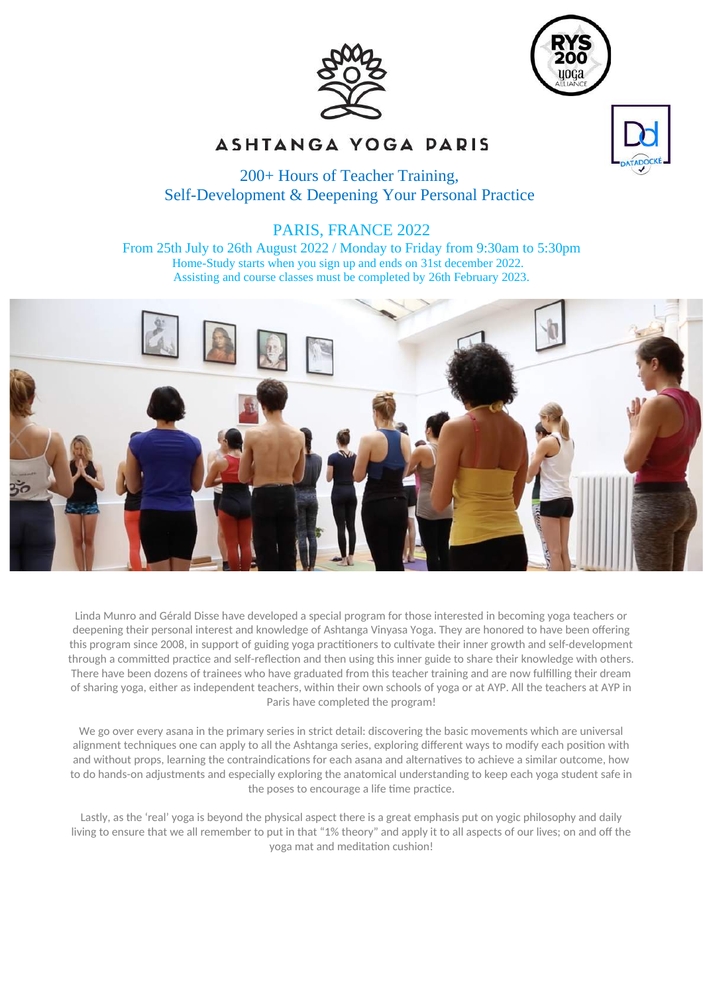



# ASHTANGA YOGA PARIS

# 200+ Hours of Teacher Training, Self-Development & Deepening Your Personal Practice

# PARIS, FRANCE 2022

From 25th July to 26th August 2022 / Monday to Friday from 9:30am to 5:30pm Home-Study starts when you sign up and ends on 31st december 2022. Assisting and course classes must be completed by 26th February 2023.



Linda Munro and Gérald Disse have developed a special program for those interested in becoming yoga teachers or deepening their personal interest and knowledge of Ashtanga Vinyasa Yoga. They are honored to have been offering this program since 2008, in support of guiding yoga practitioners to cultivate their inner growth and self-development through a committed practice and self-reflection and then using this inner guide to share their knowledge with others. There have been dozens of trainees who have graduated from this teacher training and are now fulfilling their dream of sharing yoga, either as independent teachers, within their own schools of yoga or at AYP. All the teachers at AYP in Paris have completed the program!

We go over every asana in the primary series in strict detail: discovering the basic movements which are universal alignment techniques one can apply to all the Ashtanga series, exploring different ways to modify each position with and without props, learning the contraindications for each asana and alternatives to achieve a similar outcome, how to do hands-on adjustments and especially exploring the anatomical understanding to keep each yoga student safe in the poses to encourage a life time practice.

Lastly, as the 'real' yoga is beyond the physical aspect there is a great emphasis put on yogic philosophy and daily living to ensure that we all remember to put in that "1% theory" and apply it to all aspects of our lives; on and off the yoga mat and meditation cushion!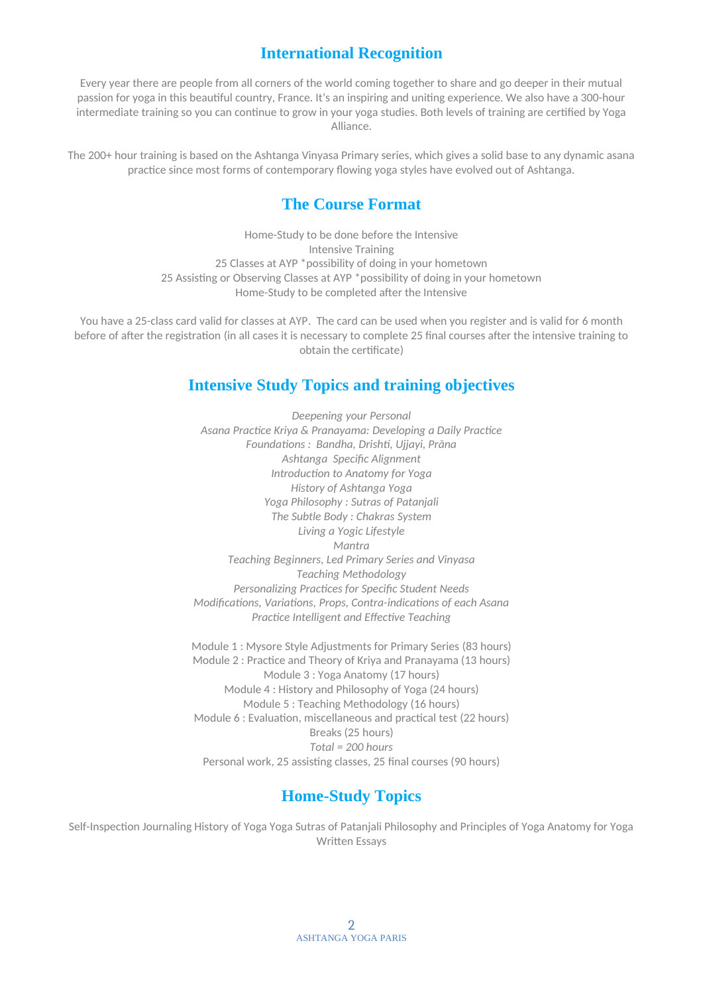# **International Recognition**

Every year there are people from all corners of the world coming together to share and go deeper in their mutual passion for yoga in this beautiful country, France. It's an inspiring and uniting experience. We also have a 300-hour intermediate training so you can continue to grow in your yoga studies. Both levels of training are certified by Yoga Alliance.

The 200+ hour training is based on the Ashtanga Vinyasa Primary series, which gives a solid base to any dynamic asana practice since most forms of contemporary flowing yoga styles have evolved out of Ashtanga.

# **The Course Format**

Home-Study to be done before the Intensive Intensive Training 25 Classes at AYP \*possibility of doing in your hometown 25 Assisting or Observing Classes at AYP \*possibility of doing in your hometown Home-Study to be completed after the Intensive

You have a 25-class card valid for classes at AYP. The card can be used when you register and is valid for 6 month before of after the registration (in all cases it is necessary to complete 25 final courses after the intensive training to obtain the certificate)

# **Intensive Study Topics and training objectives**

*Deepening your Personal Asana Practice Kriya & Pranayama: Developing a Daily Practice Foundations : Bandha, Drishti, Ujjayi, Prāna Ashtanga Specific Alignment Introduction to Anatomy for Yoga History of Ashtanga Yoga Yoga Philosophy : Sutras of Patanjali The Subtle Body : Chakras System Living a Yogic Lifestyle Mantra Teaching Beginners, Led Primary Series and Vinyasa Teaching Methodology Personalizing Practices for Specific Student Needs Modifications, Variations, Props, Contra-indications of each Asana Practice Intelligent and Effective Teaching*

Module 1 : Mysore Style Adjustments for Primary Series (83 hours) Module 2 : Practice and Theory of Kriya and Pranayama (13 hours) Module 3 : Yoga Anatomy (17 hours) Module 4 : History and Philosophy of Yoga (24 hours) Module 5 : Teaching Methodology (16 hours) Module 6 : Evaluation, miscellaneous and practical test (22 hours) Breaks (25 hours) *Total = 200 hours* Personal work, 25 assisting classes, 25 final courses (90 hours)

# **Home-Study Topics**

Self-Inspection Journaling History of Yoga Yoga Sutras of Patanjali Philosophy and Principles of Yoga Anatomy for Yoga Written Essays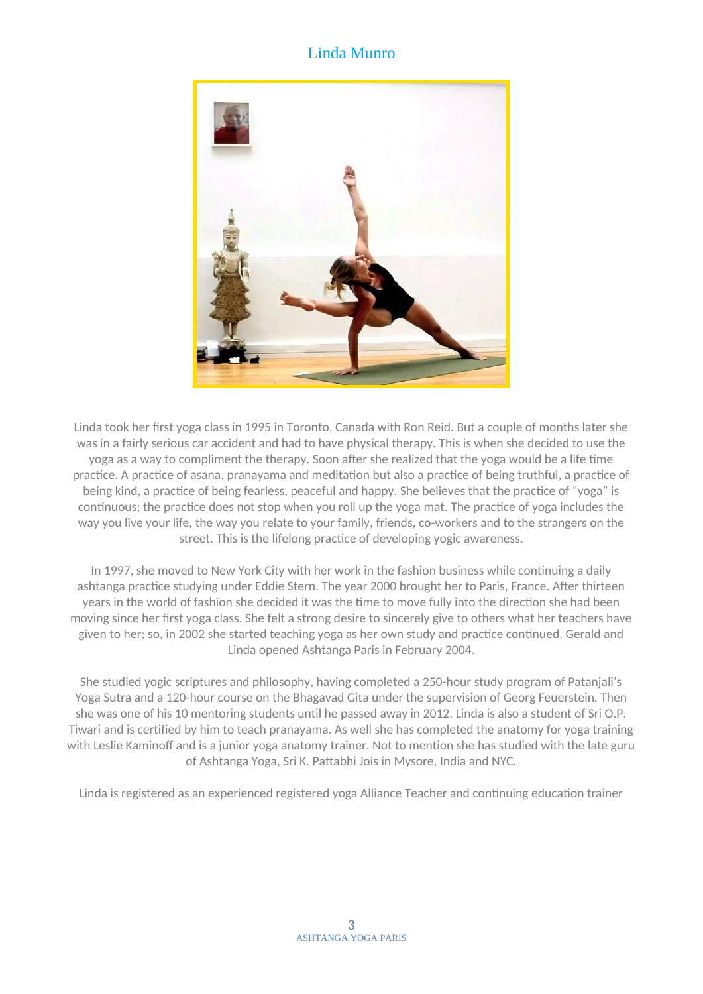# Linda Munro



Linda took her first yoga class in 1995 in Toronto, Canada with Ron Reid. But a couple of months later she was in a fairly serious car accident and had to have physical therapy. This is when she decided to use the yoga as a way to compliment the therapy. Soon after she realized that the yoga would be a life time practice. A practice of asana, pranayama and meditation but also a practice of being truthful, a practice of being kind, a practice of being fearless, peaceful and happy. She believes that the practice of "yoga" is continuous; the practice does not stop when you roll up the yoga mat. The practice of yoga includes the way you live your life, the way you relate to your family, friends, co-workers and to the strangers on the street. This is the lifelong practice of developing yogic awareness.

In 1997, she moved to New York City with her work in the fashion business while continuing a daily ashtanga practice studying under Eddie Stern. The year 2000 brought her to Paris, France. After thirteen years in the world of fashion she decided it was the time to move fully into the direction she had been moving since her first yoga class. She felt a strong desire to sincerely give to others what her teachers have given to her; so, in 2002 she started teaching yoga as her own study and practice continued. Gerald and Linda opened Ashtanga Paris in February 2004.

She studied yogic scriptures and philosophy, having completed a 250-hour study program of Patanjali's Yoga Sutra and a 120-hour course on the Bhagavad Gita under the supervision of Georg Feuerstein. Then she was one of his 10 mentoring students until he passed away in 2012. Linda is also a student of Sri O.P. Tiwari and is certified by him to teach pranayama. As well she has completed the anatomy for yoga training with Leslie Kaminoff and is a junior yoga anatomy trainer. Not to mention she has studied with the late guru of Ashtanga Yoga, Sri K. Pattabhi Jois in Mysore, India and NYC.

Linda is registered as an experienced registered yoga Alliance Teacher and continuing education trainer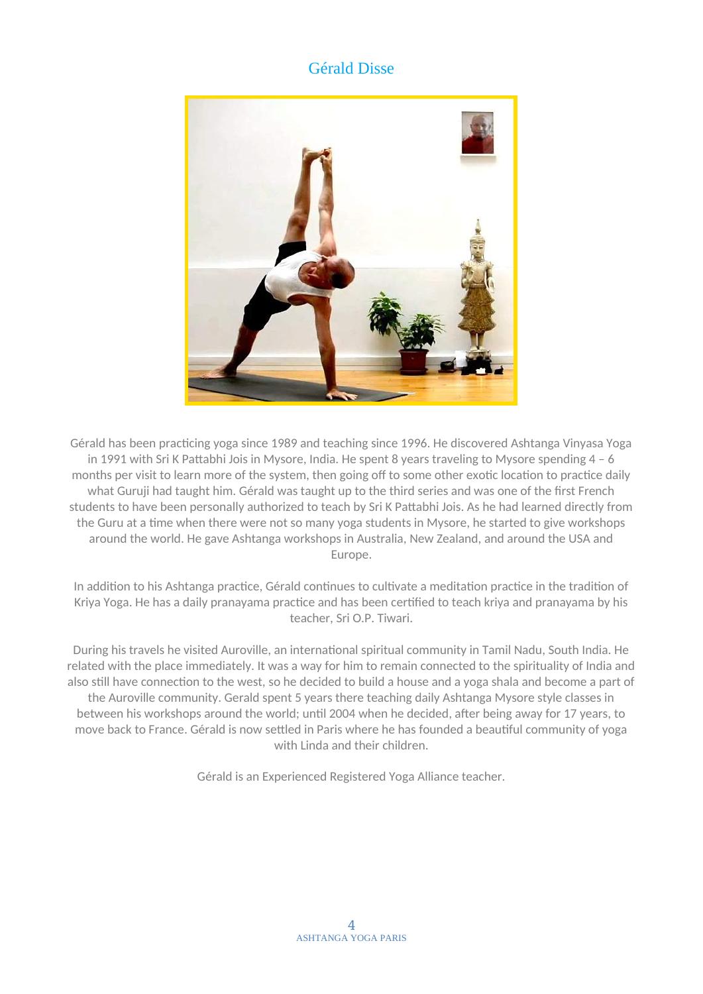# Gérald Disse



Gérald has been practicing yoga since 1989 and teaching since 1996. He discovered Ashtanga Vinyasa Yoga in 1991 with Sri K Pattabhi Jois in Mysore, India. He spent 8 years traveling to Mysore spending 4 – 6 months per visit to learn more of the system, then going off to some other exotic location to practice daily what Guruji had taught him. Gérald was taught up to the third series and was one of the first French students to have been personally authorized to teach by Sri K Pattabhi Jois. As he had learned directly from the Guru at a time when there were not so many yoga students in Mysore, he started to give workshops around the world. He gave Ashtanga workshops in Australia, New Zealand, and around the USA and Europe.

In addition to his Ashtanga practice, Gérald continues to cultivate a meditation practice in the tradition of Kriya Yoga. He has a daily pranayama practice and has been certified to teach kriya and pranayama by his teacher, Sri O.P. Tiwari.

During his travels he visited Auroville, an international spiritual community in Tamil Nadu, South India. He related with the place immediately. It was a way for him to remain connected to the spirituality of India and also still have connection to the west, so he decided to build a house and a yoga shala and become a part of the Auroville community. Gerald spent 5 years there teaching daily Ashtanga Mysore style classes in between his workshops around the world; until 2004 when he decided, after being away for 17 years, to move back to France. Gérald is now settled in Paris where he has founded a beautiful community of yoga with Linda and their children.

Gérald is an Experienced Registered Yoga Alliance teacher.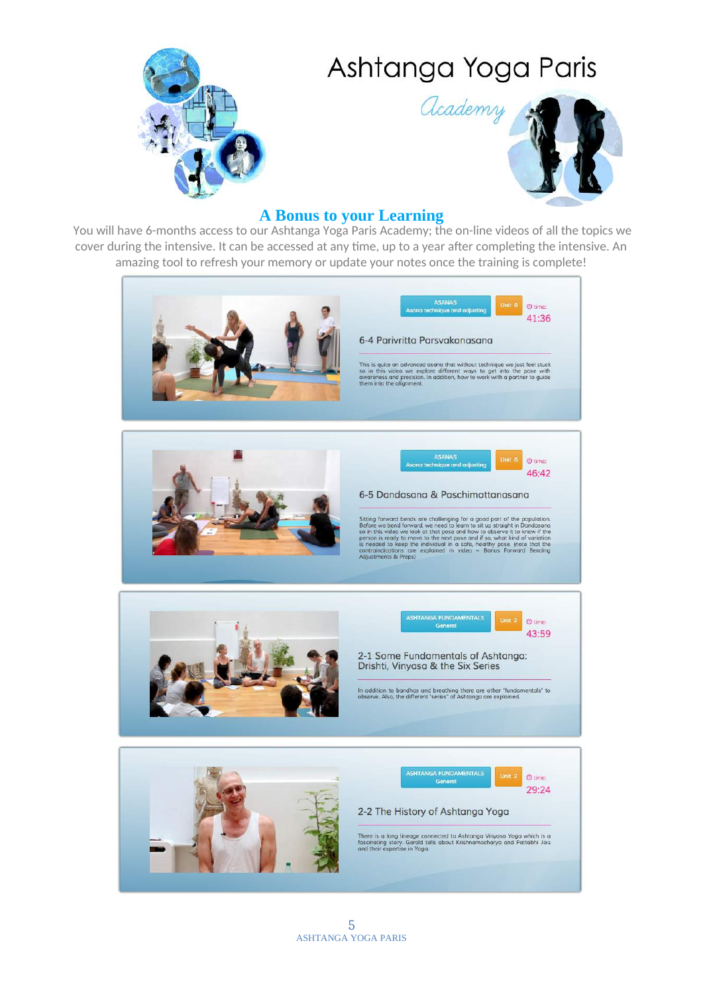# Ashtanga Yoga Paris





### **A Bonus to your Learning**

You will have 6-months access to our Ashtanga Yoga Paris Academy; the on-line videos of all the topics we cover during the intensive. It can be accessed at any time, up to a year after completing the intensive. An amazing tool to refresh your memory or update your notes once the training is complete!

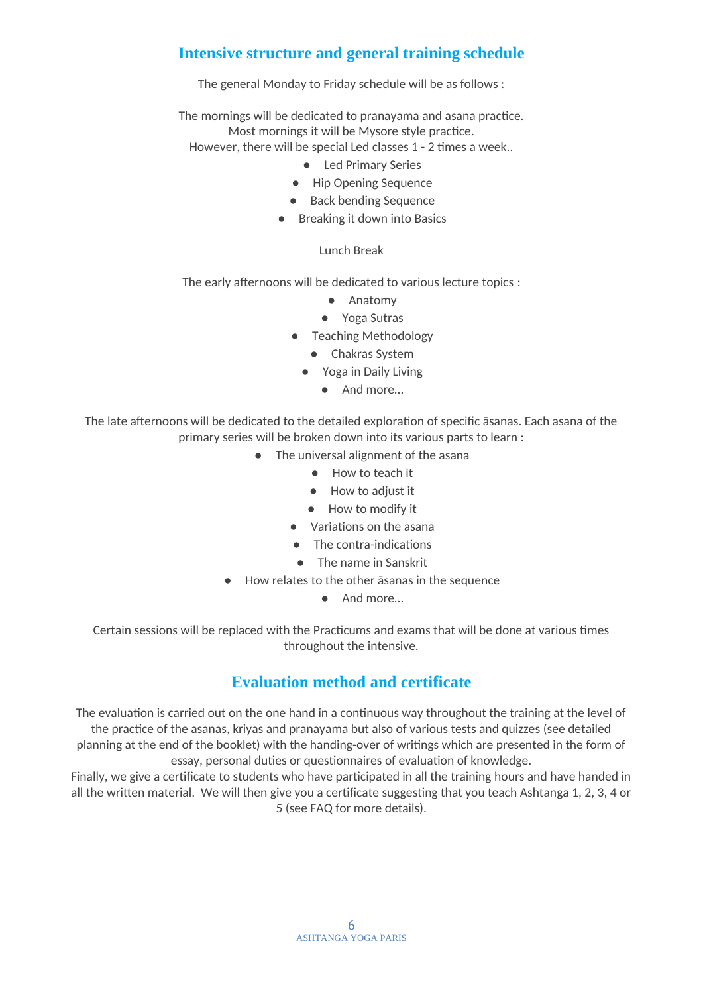# **Intensive structure and general training schedule**

The general Monday to Friday schedule will be as follows :

The mornings will be dedicated to pranayama and asana practice. Most mornings it will be Mysore style practice. However, there will be special Led classes 1 - 2 times a week..

- - Led Primary Series
	- Hip Opening Sequence
	- Back bending Sequence
	- Breaking it down into Basics

### Lunch Break

The early afternoons will be dedicated to various lecture topics :

- Anatomy
- Yoga Sutras
- Teaching Methodology
	- Chakras System
	- Yoga in Daily Living
		- And more…

The late afternoons will be dedicated to the detailed exploration of specific āsanas. Each asana of the primary series will be broken down into its various parts to learn :

- The universal alignment of the asana
	- How to teach it
	- How to adjust it
	- How to modify it
	- Variations on the asana
	- The contra-indications
	- The name in Sanskrit
- How relates to the other āsanas in the sequence
	- And more…

Certain sessions will be replaced with the Practicums and exams that will be done at various times throughout the intensive.

# **Evaluation method and certificate**

The evaluation is carried out on the one hand in a continuous way throughout the training at the level of the practice of the asanas, kriyas and pranayama but also of various tests and quizzes (see detailed planning at the end of the booklet) with the handing-over of writings which are presented in the form of essay, personal duties or questionnaires of evaluation of knowledge.

Finally, we give a certificate to students who have participated in all the training hours and have handed in all the written material. We will then give you a certificate suggesting that you teach Ashtanga 1, 2, 3, 4 or 5 (see FAQ for more details).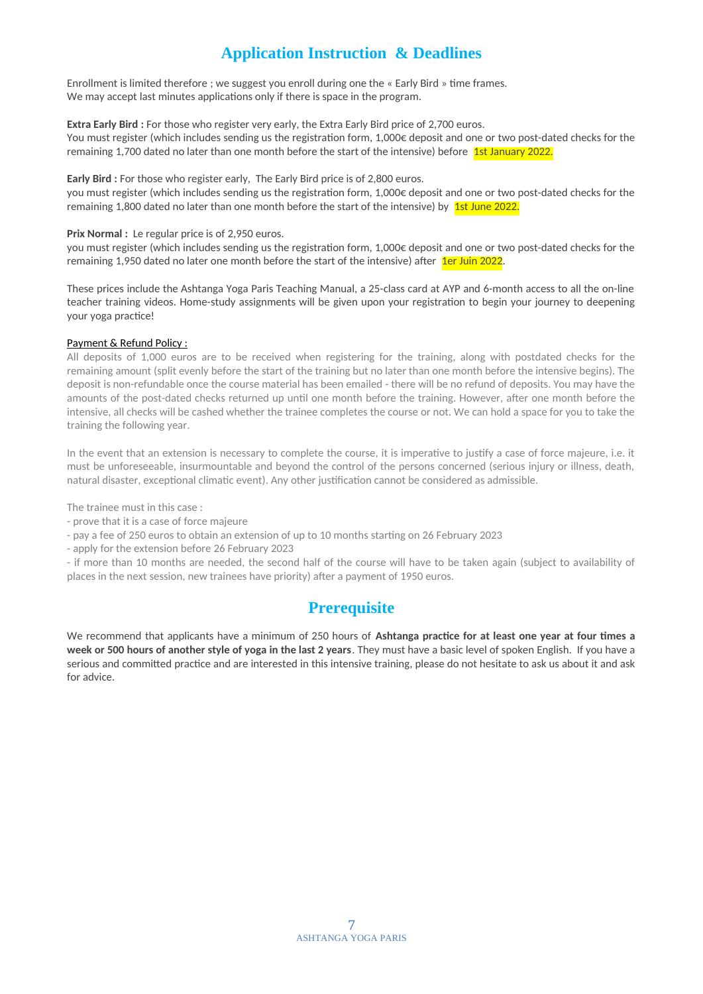# **Application Instruction & Deadlines**

Enrollment is limited therefore ; we suggest you enroll during one the « Early Bird » time frames. We may accept last minutes applications only if there is space in the program.

**Extra Early Bird :** For those who register very early, the Extra Early Bird price of 2,700 euros. You must register (which includes sending us the registration form, 1,000€ deposit and one or two post-dated checks for the remaining 1,700 dated no later than one month before the start of the intensive) before 1st January 2022.

**Early Bird :** For those who register early, The Early Bird price is of 2,800 euros.

you must register (which includes sending us the registration form, 1,000€ deposit and one or two post-dated checks for the remaining 1,800 dated no later than one month before the start of the intensive) by 1st June 2022.

#### **Prix Normal :** Le regular price is of 2,950 euros.

you must register (which includes sending us the registration form, 1,000€ deposit and one or two post-dated checks for the remaining 1,950 dated no later one month before the start of the intensive) after 1er Juin 2022.

These prices include the Ashtanga Yoga Paris Teaching Manual, a 25-class card at AYP and 6-month access to all the on-line teacher training videos. Home-study assignments will be given upon your registration to begin your journey to deepening your yoga practice!

#### Payment & Refund Policy :

All deposits of 1,000 euros are to be received when registering for the training, along with postdated checks for the remaining amount (split evenly before the start of the training but no later than one month before the intensive begins). The deposit is non-refundable once the course material has been emailed - there will be no refund of deposits. You may have the amounts of the post-dated checks returned up until one month before the training. However, after one month before the intensive, all checks will be cashed whether the trainee completes the course or not. We can hold a space for you to take the training the following year.

In the event that an extension is necessary to complete the course, it is imperative to justify a case of force majeure, i.e. it must be unforeseeable, insurmountable and beyond the control of the persons concerned (serious injury or illness, death, natural disaster, exceptional climatic event). Any other justification cannot be considered as admissible.

The trainee must in this case :

- prove that it is a case of force majeure
- pay a fee of 250 euros to obtain an extension of up to 10 months starting on 26 February 2023
- apply for the extension before 26 February 2023

- if more than 10 months are needed, the second half of the course will have to be taken again (subject to availability of places in the next session, new trainees have priority) after a payment of 1950 euros.

# **Prerequisite**

We recommend that applicants have a minimum of 250 hours of **Ashtanga practice for at least one year at four times a week or 500 hours of another style of yoga in the last 2 years**. They must have a basic level of spoken English. If you have a serious and committed practice and are interested in this intensive training, please do not hesitate to ask us about it and ask for advice.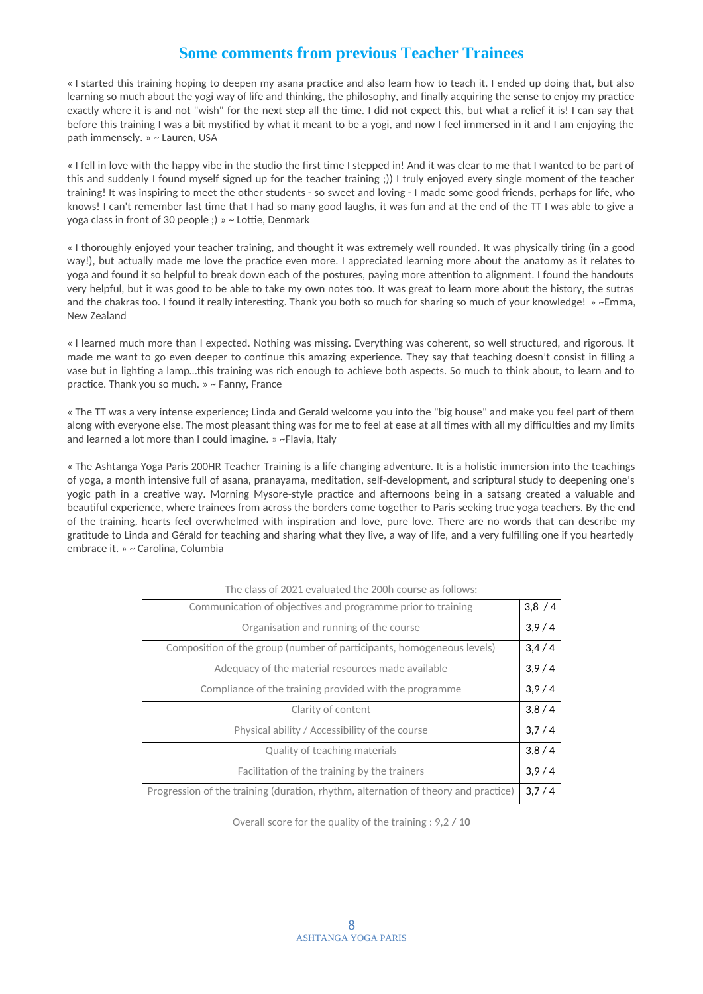# **Some comments from previous Teacher Trainees**

« I started this training hoping to deepen my asana practice and also learn how to teach it. I ended up doing that, but also learning so much about the yogi way of life and thinking, the philosophy, and finally acquiring the sense to enjoy my practice exactly where it is and not "wish" for the next step all the time. I did not expect this, but what a relief it is! I can say that before this training I was a bit mystified by what it meant to be a yogi, and now I feel immersed in it and I am enjoying the path immensely. » ~ Lauren, USA

« I fell in love with the happy vibe in the studio the first time I stepped in! And it was clear to me that I wanted to be part of this and suddenly I found myself signed up for the teacher training ;)) I truly enjoyed every single moment of the teacher training! It was inspiring to meet the other students - so sweet and loving - I made some good friends, perhaps for life, who knows! I can't remember last time that I had so many good laughs, it was fun and at the end of the TT I was able to give a yoga class in front of 30 people ;) » ~ Lottie, Denmark

« I thoroughly enjoyed your teacher training, and thought it was extremely well rounded. It was physically tiring (in a good way!), but actually made me love the practice even more. I appreciated learning more about the anatomy as it relates to yoga and found it so helpful to break down each of the postures, paying more attention to alignment. I found the handouts very helpful, but it was good to be able to take my own notes too. It was great to learn more about the history, the sutras and the chakras too. I found it really interesting. Thank you both so much for sharing so much of your knowledge! » ~Emma, New Zealand

« I learned much more than I expected. Nothing was missing. Everything was coherent, so well structured, and rigorous. It made me want to go even deeper to continue this amazing experience. They say that teaching doesn't consist in filling a vase but in lighting a lamp…this training was rich enough to achieve both aspects. So much to think about, to learn and to practice. Thank you so much. » ~ Fanny, France

« The TT was a very intense experience; Linda and Gerald welcome you into the "big house" and make you feel part of them along with everyone else. The most pleasant thing was for me to feel at ease at all times with all my difficulties and my limits and learned a lot more than I could imagine. » ~Flavia, Italy

« The Ashtanga Yoga Paris 200HR Teacher Training is a life changing adventure. It is a holistic immersion into the teachings of yoga, a month intensive full of asana, pranayama, meditation, self-development, and scriptural study to deepening one's yogic path in a creative way. Morning Mysore-style practice and afternoons being in a satsang created a valuable and beautiful experience, where trainees from across the borders come together to Paris seeking true yoga teachers. By the end of the training, hearts feel overwhelmed with inspiration and love, pure love. There are no words that can describe my gratitude to Linda and Gérald for teaching and sharing what they live, a way of life, and a very fulfilling one if you heartedly embrace it. » ~ Carolina, Columbia

| Communication of objectives and programme prior to training                        | 3,8/4 |
|------------------------------------------------------------------------------------|-------|
| Organisation and running of the course                                             | 3,9/4 |
| Composition of the group (number of participants, homogeneous levels)              | 3,4/4 |
| Adequacy of the material resources made available                                  | 3,9/4 |
| Compliance of the training provided with the programme                             | 3,9/4 |
| Clarity of content                                                                 | 3,8/4 |
| Physical ability / Accessibility of the course                                     | 3,7/4 |
| Quality of teaching materials                                                      | 3.8/4 |
| Facilitation of the training by the trainers                                       | 3.9/4 |
| Progression of the training (duration, rhythm, alternation of theory and practice) | 3.7/4 |

#### The class of 2021 evaluated the 200h course as follows:

Overall score for the quality of the training : 9,2 **/ 10**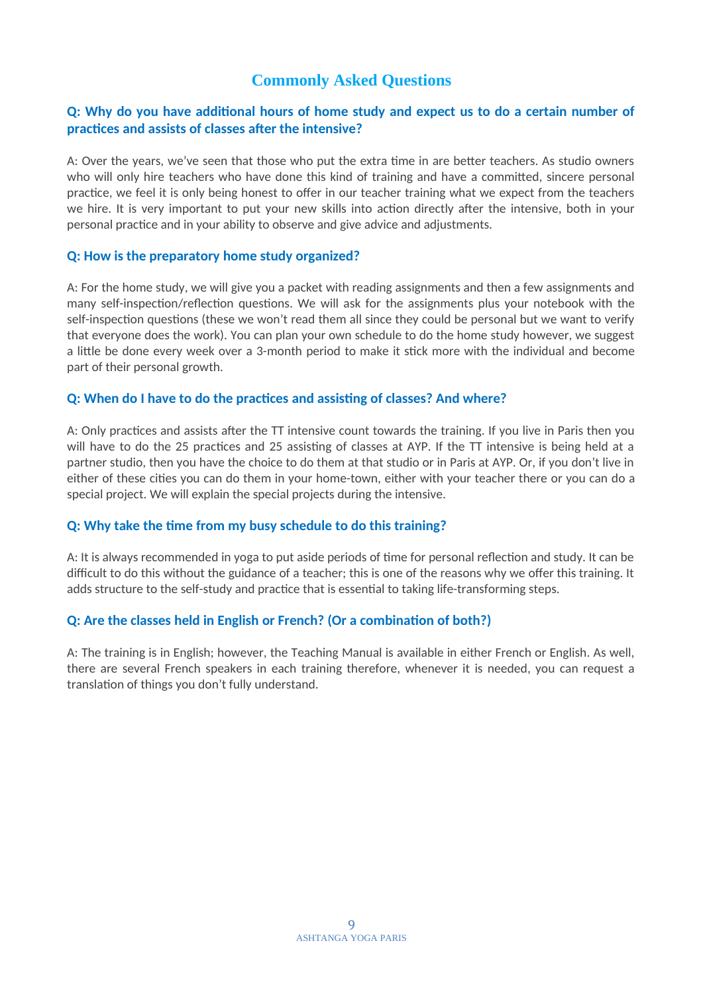# **Commonly Asked Questions**

### **Q: Why do you have additional hours of home study and expect us to do a certain number of practices and assists of classes after the intensive?**

A: Over the years, we've seen that those who put the extra time in are better teachers. As studio owners who will only hire teachers who have done this kind of training and have a committed, sincere personal practice, we feel it is only being honest to offer in our teacher training what we expect from the teachers we hire. It is very important to put your new skills into action directly after the intensive, both in your personal practice and in your ability to observe and give advice and adjustments.

### **Q: How is the preparatory home study organized?**

A: For the home study, we will give you a packet with reading assignments and then a few assignments and many self-inspection/reflection questions. We will ask for the assignments plus your notebook with the self-inspection questions (these we won't read them all since they could be personal but we want to verify that everyone does the work). You can plan your own schedule to do the home study however, we suggest a little be done every week over a 3-month period to make it stick more with the individual and become part of their personal growth.

#### **Q: When do I have to do the practices and assisting of classes? And where?**

A: Only practices and assists after the TT intensive count towards the training. If you live in Paris then you will have to do the 25 practices and 25 assisting of classes at AYP. If the TT intensive is being held at a partner studio, then you have the choice to do them at that studio or in Paris at AYP. Or, if you don't live in either of these cities you can do them in your home-town, either with your teacher there or you can do a special project. We will explain the special projects during the intensive.

### **Q: Why take the time from my busy schedule to do this training?**

A: It is always recommended in yoga to put aside periods of time for personal reflection and study. It can be difficult to do this without the guidance of a teacher; this is one of the reasons why we offer this training. It adds structure to the self-study and practice that is essential to taking life-transforming steps.

### **Q: Are the classes held in English or French? (Or a combination of both?)**

A: The training is in English; however, the Teaching Manual is available in either French or English. As well, there are several French speakers in each training therefore, whenever it is needed, you can request a translation of things you don't fully understand.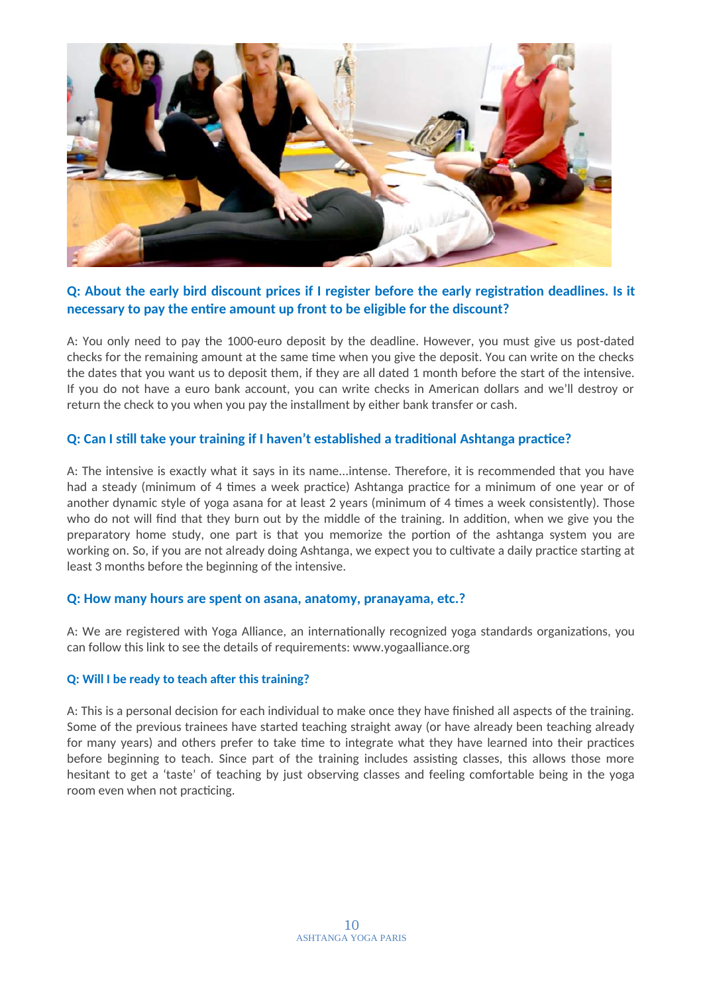

### **Q: About the early bird discount prices if I register before the early registration deadlines. Is it necessary to pay the entire amount up front to be eligible for the discount?**

A: You only need to pay the 1000-euro deposit by the deadline. However, you must give us post-dated checks for the remaining amount at the same time when you give the deposit. You can write on the checks the dates that you want us to deposit them, if they are all dated 1 month before the start of the intensive. If you do not have a euro bank account, you can write checks in American dollars and we'll destroy or return the check to you when you pay the installment by either bank transfer or cash.

### **Q: Can I still take your training if I haven't established a traditional Ashtanga practice?**

A: The intensive is exactly what it says in its name...intense. Therefore, it is recommended that you have had a steady (minimum of 4 times a week practice) Ashtanga practice for a minimum of one year or of another dynamic style of yoga asana for at least 2 years (minimum of 4 times a week consistently). Those who do not will find that they burn out by the middle of the training. In addition, when we give you the preparatory home study, one part is that you memorize the portion of the ashtanga system you are working on. So, if you are not already doing Ashtanga, we expect you to cultivate a daily practice starting at least 3 months before the beginning of the intensive.

### **Q: How many hours are spent on asana, anatomy, pranayama, etc.?**

A: We are registered with Yoga Alliance, an internationally recognized yoga standards organizations, you can follow this link to see the details of requirements: www.yogaalliance.org

#### **Q: Will I be ready to teach after this training?**

A: This is a personal decision for each individual to make once they have finished all aspects of the training. Some of the previous trainees have started teaching straight away (or have already been teaching already for many years) and others prefer to take time to integrate what they have learned into their practices before beginning to teach. Since part of the training includes assisting classes, this allows those more hesitant to get a 'taste' of teaching by just observing classes and feeling comfortable being in the yoga room even when not practicing.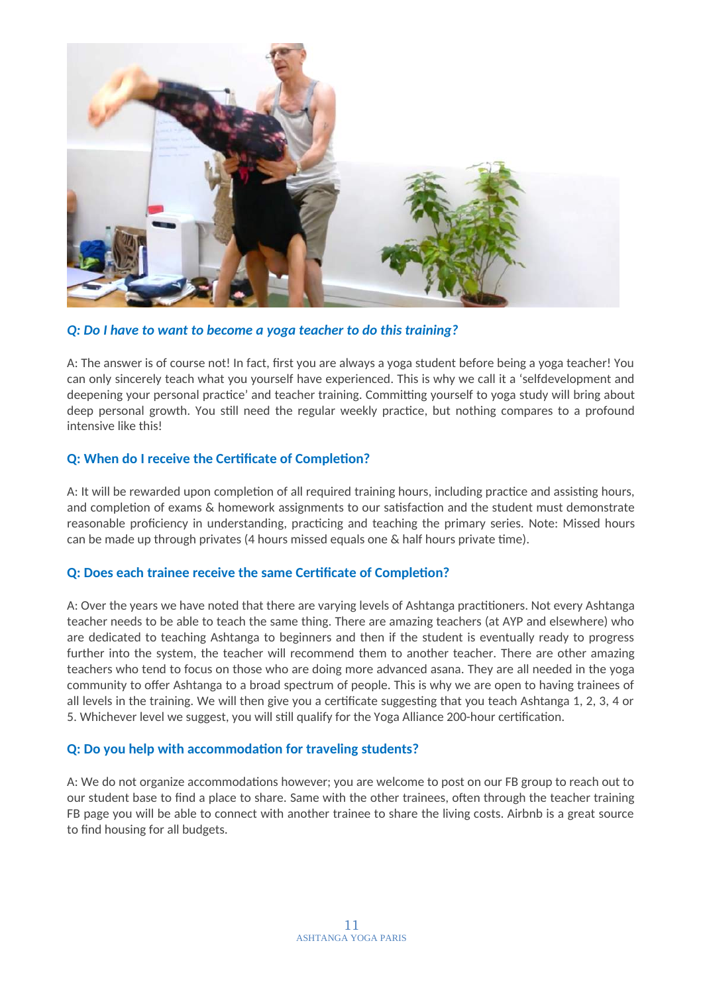

### *Q: Do I have to want to become a yoga teacher to do this training?*

A: The answer is of course not! In fact, first you are always a yoga student before being a yoga teacher! You can only sincerely teach what you yourself have experienced. This is why we call it a 'selfdevelopment and deepening your personal practice' and teacher training. Committing yourself to yoga study will bring about deep personal growth. You still need the regular weekly practice, but nothing compares to a profound intensive like this!

### **Q: When do I receive the Certificate of Completion?**

A: It will be rewarded upon completion of all required training hours, including practice and assisting hours, and completion of exams & homework assignments to our satisfaction and the student must demonstrate reasonable proficiency in understanding, practicing and teaching the primary series. Note: Missed hours can be made up through privates (4 hours missed equals one & half hours private time).

### **Q: Does each trainee receive the same Certificate of Completion?**

A: Over the years we have noted that there are varying levels of Ashtanga practitioners. Not every Ashtanga teacher needs to be able to teach the same thing. There are amazing teachers (at AYP and elsewhere) who are dedicated to teaching Ashtanga to beginners and then if the student is eventually ready to progress further into the system, the teacher will recommend them to another teacher. There are other amazing teachers who tend to focus on those who are doing more advanced asana. They are all needed in the yoga community to offer Ashtanga to a broad spectrum of people. This is why we are open to having trainees of all levels in the training. We will then give you a certificate suggesting that you teach Ashtanga 1, 2, 3, 4 or 5. Whichever level we suggest, you will still qualify for the Yoga Alliance 200-hour certification.

### **Q: Do you help with accommodation for traveling students?**

A: We do not organize accommodations however; you are welcome to post on our FB group to reach out to our student base to find a place to share. Same with the other trainees, often through the teacher training FB page you will be able to connect with another trainee to share the living costs. Airbnb is a great source to find housing for all budgets.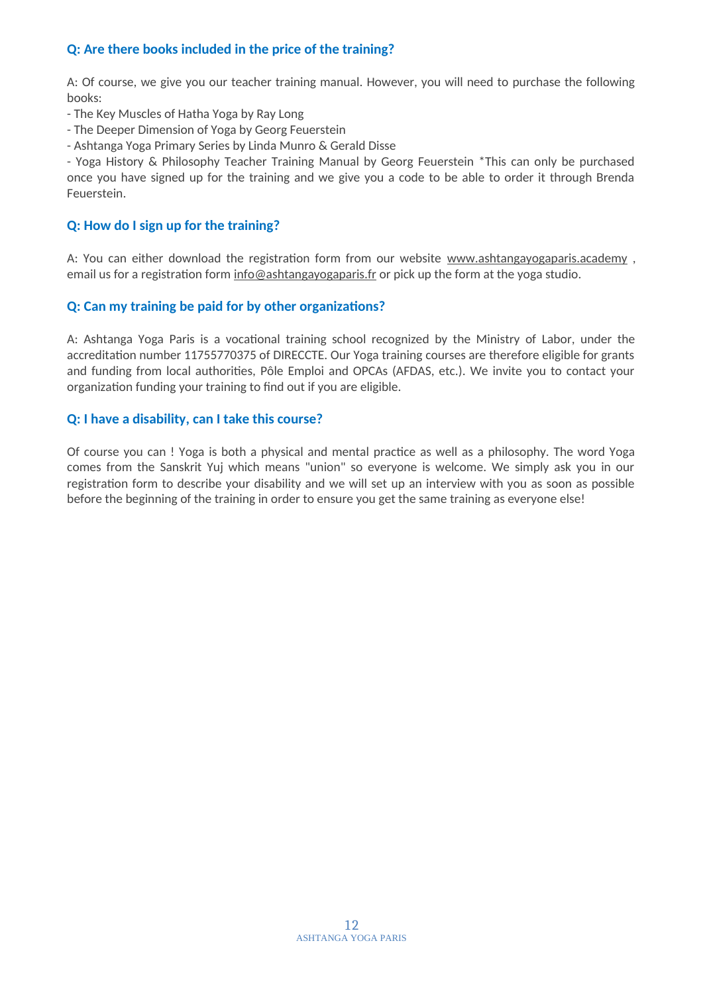### **Q: Are there books included in the price of the training?**

A: Of course, we give you our teacher training manual. However, you will need to purchase the following books:

- The Key Muscles of Hatha Yoga by Ray Long
- The Deeper Dimension of Yoga by Georg Feuerstein
- Ashtanga Yoga Primary Series by Linda Munro & Gerald Disse

- Yoga History & Philosophy Teacher Training Manual by Georg Feuerstein \*This can only be purchased once you have signed up for the training and we give you a code to be able to order it through Brenda Feuerstein.

### **Q: How do I sign up for the training?**

A: You can either download the registration form from our website www.ashtangayogaparis.academy, email us for a registration form  $\underline{info@ashtangayogaparis.fr}$  or pick up the form at the yoga studio.

### **Q: Can my training be paid for by other organizations?**

A: Ashtanga Yoga Paris is a vocational training school recognized by the Ministry of Labor, under the accreditation number 11755770375 of DIRECCTE. Our Yoga training courses are therefore eligible for grants and funding from local authorities, Pôle Emploi and OPCAs (AFDAS, etc.). We invite you to contact your organization funding your training to find out if you are eligible.

### **Q: I have a disability, can I take this course?**

Of course you can ! Yoga is both a physical and mental practice as well as a philosophy. The word Yoga comes from the Sanskrit Yuj which means "union" so everyone is welcome. We simply ask you in our registration form to describe your disability and we will set up an interview with you as soon as possible before the beginning of the training in order to ensure you get the same training as everyone else!